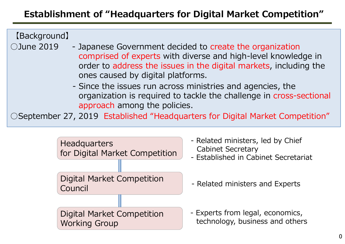# **Establishment of "Headquarters for Digital Market Competition"**

【Background】

- $\bigcirc$  June 2019 Japanese Government decided to create the organization comprised of experts with diverse and high-level knowledge in order to address the issues in the digital markets, including the ones caused by digital platforms.
	- Since the issues run across ministries and agencies, the organization is required to tackle the challenge in cross-sectional approach among the policies.

○September 27, 2019 Established "Headquarters for Digital Market Competition"